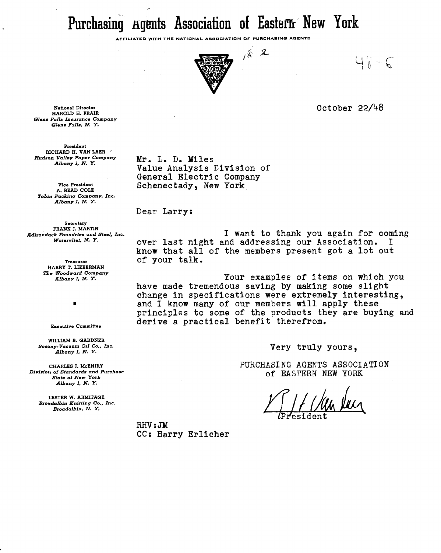Purchasing Agents Association of Eastern New York

**AFFILIATED WITH THE NATIONAL ASSOCIATION OF PURCHASlNO AQENTS** 



 $162$ 

 $4 \times -6$ 

October 22/48

*National Director HAROLD H. FRAIR Glens Falls Insurance Company Glens Falls,* **N. Y.** 

*President RICHARD H. VAN LAER* ' *Hudson Valley Paper Company Albany I, N. Y.* 

*Vice President A. READ COLE Tobin Packing Company, Inc. Albany* **1,** *N.* **Y.** 

*Secretary FRANK J. MARTIN ~dirondack Foundries and Steel, Inc. Watervliet,* **N.** *Y.* 

> *Treasurer HARRY T. LIEBERMAN The Woodward Company Albany 1, N. Y.*

> > *Executive Committee*

 $\blacksquare$ 

*WILLIAM B. GARDNER Socony-Vacuum Oil Co., Inc. Albany 1, N.* **Y.** 

*CHARLES J. McENIRY Division of Standards and Purchase State of New York Albany 1,* **N. Y.** 

*LESTER W. ARMITAGE Broedalbin Knitting Co., Inc. Broadalbin, N. Y.* 

Mr. L. D. Miles Value Analysis Division of General Electric Company Schenectady, New York

Dear Larry:

I want to thank you again for coming over last night and addressing our Association. know that all of the members present got a lot out of your talk.

Your examples of items on which you have made tremendous saving by making some slight change in specifications were extremely interesting, and I know many of our members will apply these principles to some of the products they are buying and derive a practical benefit therefrom.

Very truly yours,

PURCHASING AGENTS ASSOCIATION of EASTERN NEW **YORK** 

 $RHV:JM$ CC: Harry Erlicher